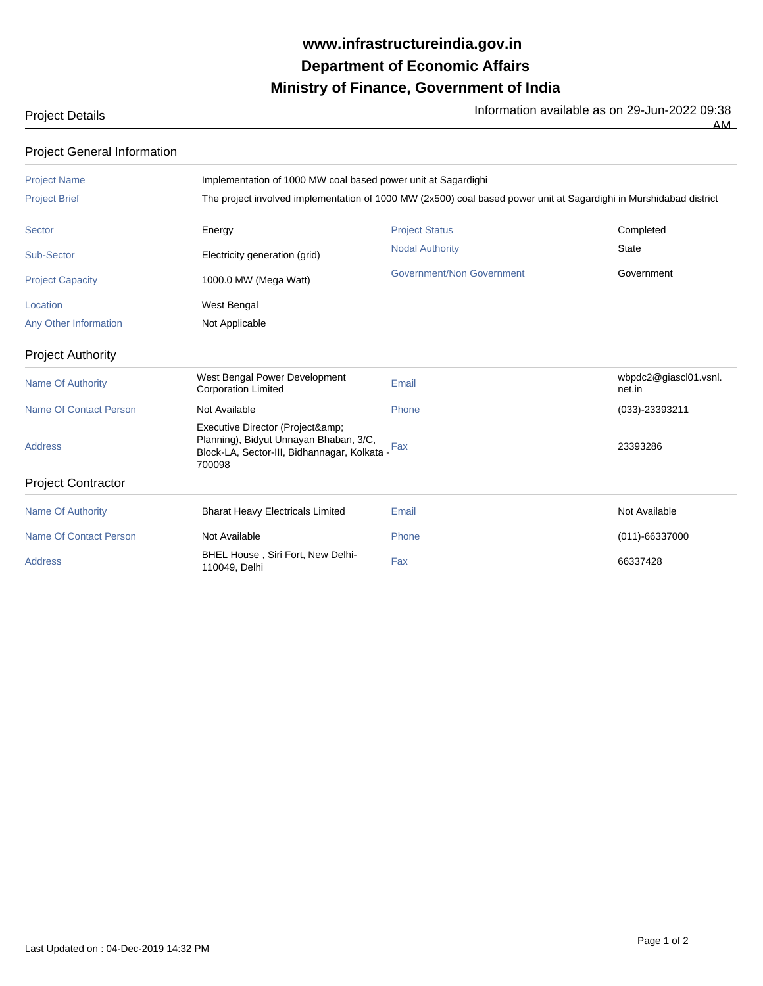## **Ministry of Finance, Government of India Department of Economic Affairs www.infrastructureindia.gov.in**

Project Details **Information available as on 29-Jun-2022** 09:38

AM

Project General Information

| <b>Project Name</b>           | Implementation of 1000 MW coal based power unit at Sagardighi                                                                    |                           |                                 |  |
|-------------------------------|----------------------------------------------------------------------------------------------------------------------------------|---------------------------|---------------------------------|--|
| <b>Project Brief</b>          | The project involved implementation of 1000 MW (2x500) coal based power unit at Sagardighi in Murshidabad district               |                           |                                 |  |
| <b>Sector</b>                 | Energy                                                                                                                           | <b>Project Status</b>     | Completed                       |  |
| Sub-Sector                    | Electricity generation (grid)                                                                                                    | <b>Nodal Authority</b>    | <b>State</b>                    |  |
| <b>Project Capacity</b>       | 1000.0 MW (Mega Watt)                                                                                                            | Government/Non Government | Government                      |  |
| Location                      | West Bengal                                                                                                                      |                           |                                 |  |
| Any Other Information         | Not Applicable                                                                                                                   |                           |                                 |  |
| <b>Project Authority</b>      |                                                                                                                                  |                           |                                 |  |
| <b>Name Of Authority</b>      | West Bengal Power Development<br><b>Corporation Limited</b>                                                                      | Email                     | wbpdc2@giascl01.vsnl.<br>net.in |  |
| <b>Name Of Contact Person</b> | Not Available                                                                                                                    | Phone                     | $(033) - 23393211$              |  |
| <b>Address</b>                | Executive Director (Project&<br>Planning), Bidyut Unnayan Bhaban, 3/C,<br>Block-LA, Sector-III, Bidhannagar, Kolkata -<br>700098 | Fax                       | 23393286                        |  |
| <b>Project Contractor</b>     |                                                                                                                                  |                           |                                 |  |
| <b>Name Of Authority</b>      | <b>Bharat Heavy Electricals Limited</b>                                                                                          | Email                     | Not Available                   |  |
| <b>Name Of Contact Person</b> | Not Available                                                                                                                    | Phone                     | $(011)-66337000$                |  |
| <b>Address</b>                | BHEL House, Siri Fort, New Delhi-<br>110049, Delhi                                                                               | Fax                       | 66337428                        |  |